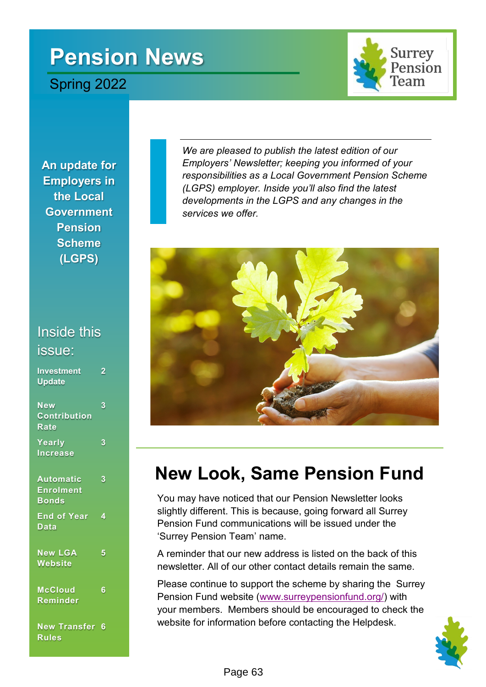# **Pension News**

Spring 2022



**An update for Employers in the Local Government Pension Scheme (LGPS)**

### Inside this issue:

| <b>Investment</b><br><b>Update</b>               | 2 |
|--------------------------------------------------|---|
| <b>New</b><br><b>Contribution</b><br><b>Rate</b> | 3 |
| Yearly<br><b>Increase</b>                        | 3 |
| Automatic<br><b>Enrolment</b><br><b>Bonds</b>    | 3 |
| <b>End of Year</b><br>Data                       | 4 |
| <b>New LGA</b><br><b>Website</b>                 | 5 |
| McCloud<br>Reminder                              | 6 |
| <b>New Transfer</b><br><b>Rules</b>              | 6 |

*We are pleased to publish the latest edition of our Employers' Newsletter; keeping you informed of your responsibilities as a Local Government Pension Scheme (LGPS) employer. Inside you'll also find the latest developments in the LGPS and any changes in the services we offer.*



### **New Look, Same Pension Fund**

You may have noticed that our Pension Newsletter looks slightly different. This is because, going forward all Surrey Pension Fund communications will be issued under the 'Surrey Pension Team' name.

A reminder that our new address is listed on the back of this newsletter. All of our other contact details remain the same.

Please continue to support the scheme by sharing the Surrey Pension Fund website [\(www.surreypensionfund.org/\)](https://www.surreypensionfund.org/) with your members. Members should be encouraged to check the website for information before contacting the Helpdesk.

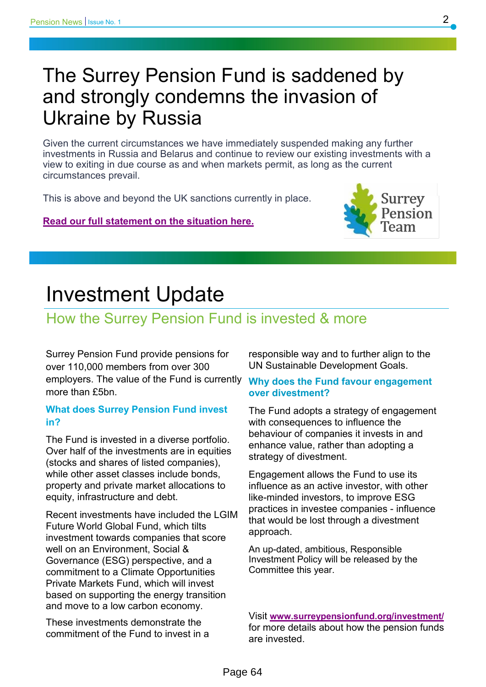### The Surrey Pension Fund is saddened by and strongly condemns the invasion of Ukraine by Russia

Given the current circumstances we have immediately suspended making any further investments in Russia and Belarus and continue to review our existing investments with a view to exiting in due course as and when markets permit, as long as the current circumstances prevail.

This is above and beyond the UK sanctions currently in place.

**[Read our full statement on the situation here.](https://employers.surreypensionfund.org.uk/news)**



### Investment Update

### How the Surrey Pension Fund is invested & more

Surrey Pension Fund provide pensions for over 110,000 members from over 300 employers. The value of the Fund is currently more than £5bn.

#### **What does Surrey Pension Fund invest in?**

The Fund is invested in a diverse portfolio. Over half of the investments are in equities (stocks and shares of listed companies), while other asset classes include bonds. property and private market allocations to equity, infrastructure and debt.

Recent investments have included the LGIM Future World Global Fund, which tilts investment towards companies that score well on an Environment, Social & Governance (ESG) perspective, and a commitment to a Climate Opportunities Private Markets Fund, which will invest based on supporting the energy transition and move to a low carbon economy.

These investments demonstrate the commitment of the Fund to invest in a responsible way and to further align to the UN Sustainable Development Goals.

#### **Why does the Fund favour engagement over divestment?**

The Fund adopts a strategy of engagement with consequences to influence the behaviour of companies it invests in and enhance value, rather than adopting a strategy of divestment.

Engagement allows the Fund to use its influence as an active investor, with other like-minded investors, to improve ESG practices in investee companies - influence that would be lost through a divestment approach.

An up-dated, ambitious, Responsible Investment Policy will be released by the Committee this year.

Visit **[www.surreypensionfund.org/investment/](http://www.surreypensionfund.org/investment/)** for more details about how the pension funds are invested.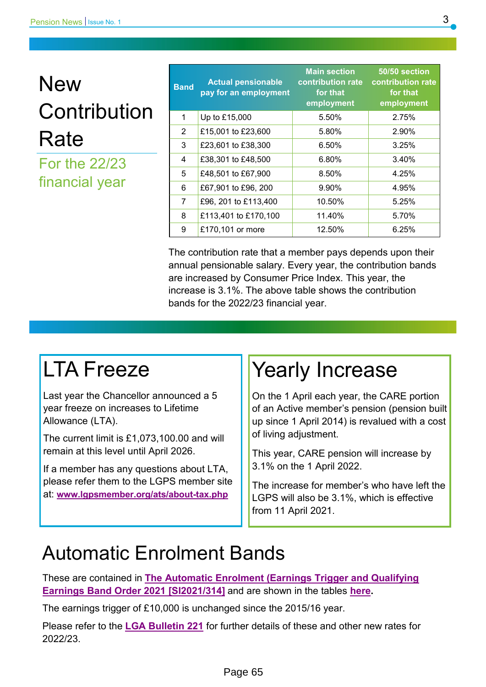# **New Contribution** Rate

For the 22/23 financial year

| <b>Band</b>    | <b>Actual pensionable</b><br>pay for an employment | <b>Main section</b><br>contribution rate<br>for that<br>employment | 50/50 section<br>contribution rate<br>for that<br>employment |
|----------------|----------------------------------------------------|--------------------------------------------------------------------|--------------------------------------------------------------|
| 1              | Up to £15,000                                      | 5.50%                                                              | 2.75%                                                        |
| 2              | £15,001 to £23,600                                 | 5.80%                                                              | 2.90%                                                        |
| 3              | £23,601 to £38,300                                 | 6.50%                                                              | 3.25%                                                        |
| 4              | £38,301 to £48,500                                 | 6.80%                                                              | 3.40%                                                        |
| 5              | £48,501 to £67,900                                 | 8.50%                                                              | 4.25%                                                        |
| 6              | £67,901 to £96, 200                                | 9.90%                                                              | 4.95%                                                        |
| $\overline{7}$ | £96, 201 to £113,400                               | 10.50%                                                             | 5.25%                                                        |
| 8              | £113,401 to £170,100                               | 11.40%                                                             | 5.70%                                                        |
| 9              | £170,101 or more                                   | 12.50%                                                             | 6.25%                                                        |

The contribution rate that a member pays depends upon their annual pensionable salary. Every year, the contribution bands are increased by Consumer Price Index. This year, the increase is 3.1%. The above table shows the contribution bands for the 2022/23 financial year.

## LTA Freeze

Last year the Chancellor announced a 5 year freeze on increases to Lifetime Allowance (LTA).

The current limit is £1,073,100.00 and will remain at this level until April 2026.

If a member has any questions about LTA, please refer them to the LGPS member site at: **[www.lgpsmember.org/ats/about](https://lgpsmember.org/ats/about-tax.php)-tax.php**

### Yearly Increase

On the 1 April each year, the CARE portion of an Active member's pension (pension built up since 1 April 2014) is revalued with a cost of living adjustment.

This year, CARE pension will increase by 3.1% on the 1 April 2022.

The increase for member's who have left the LGPS will also be 3.1%, which is effective from 11 April 2021.

### Automatic Enrolment Bands

These are contained in **[The Automatic Enrolment \(Earnings Trigger and Qualifying](https://www.gov.uk/government/publications/automatic-enrolment-review-of-the-earnings-trigger-and-qualifying-earnings-band-for-202223)  [Earnings Band Order 2021 \[SI2021/314\]](https://www.gov.uk/government/publications/automatic-enrolment-review-of-the-earnings-trigger-and-qualifying-earnings-band-for-202223)** and are shown in the tables **[here.](https://lgpsregs.org/bulletinsetc/bulletins.php)** 

The earnings trigger of £10,000 is unchanged since the 2015/16 year.

Please refer to the **[LGA Bulletin 221](https://lgpsregs.org/bulletinsetc/bulletins.php)** for further details of these and other new rates for 2022/23.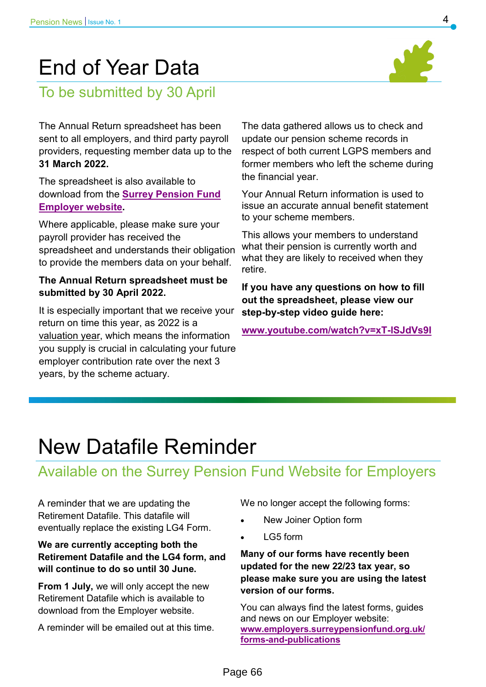## End of Year Data



To be submitted by 30 April

The Annual Return spreadsheet has been sent to all employers, and third party payroll providers, requesting member data up to the **31 March 2022.**

The spreadsheet is also available to download from the **[Surrey Pension Fund](https://employers.surreypensionfund.org.uk/forms-and-publications)  [Employer website.](https://employers.surreypensionfund.org.uk/forms-and-publications)**

Where applicable, please make sure your payroll provider has received the spreadsheet and understands their obligation to provide the members data on your behalf.

#### **The Annual Return spreadsheet must be submitted by 30 April 2022.**

It is especially important that we receive your return on time this year, as 2022 is a valuation year, which means the information you supply is crucial in calculating your future employer contribution rate over the next 3 years, by the scheme actuary.

The data gathered allows us to check and update our pension scheme records in respect of both current LGPS members and former members who left the scheme during the financial year.

Your Annual Return information is used to issue an accurate annual benefit statement to your scheme members.

This allows your members to understand what their pension is currently worth and what they are likely to received when they retire.

**If you have any questions on how to fill out the spreadsheet, please view our step-by-step video guide here:** 

**[www.youtube.com/watch?v=xT](https://www.youtube.com/watch?v=xT-lSJdVs9I)-lSJdVs9I**

### New Datafile Reminder

### Available on the Surrey Pension Fund Website for Employers

A reminder that we are updating the Retirement Datafile. This datafile will eventually replace the existing LG4 Form.

#### **We are currently accepting both the Retirement Datafile and the LG4 form, and will continue to do so until 30 June.**

**From 1 July,** we will only accept the new Retirement Datafile which is available to download from the Employer website.

A reminder will be emailed out at this time.

We no longer accept the following forms:

- New Joiner Option form
- LG5 form

**Many of our forms have recently been updated for the new 22/23 tax year, so please make sure you are using the latest version of our forms.**

You can always find the latest forms, guides and news on our Employer website: **[www.employers.surreypensionfund.org.uk/](https://employers.surreypensionfund.org.uk/forms-and-publications) forms-and-[publications](https://employers.surreypensionfund.org.uk/forms-and-publications)**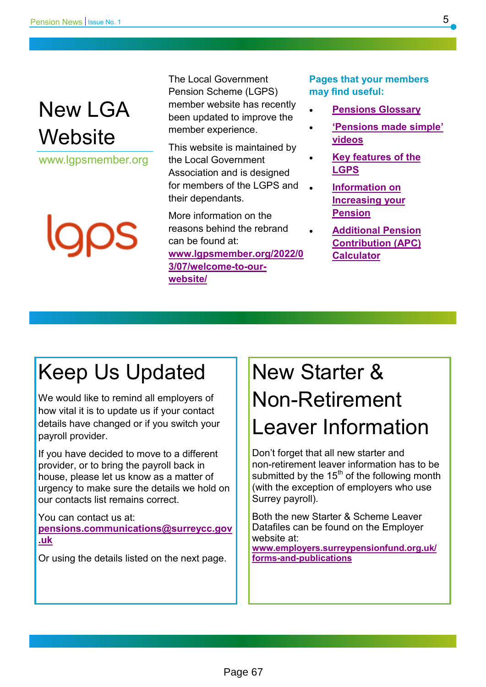## New LGA **Website**

www.lgpsmember.org

The Local Government Pension Scheme (LGPS) member website has recently been updated to improve the member experience.

This website is maintained by the Local Government Association and is designed for members of the LGPS and their dependants.

More information on the reasons behind the rebrand can be found at: **[www.lgpsmember.org/2022/0](https://www.lgpsmember.org/2022/03/07/welcome-to-our-website/) [3/07/welcome](https://www.lgpsmember.org/2022/03/07/welcome-to-our-website/)-to-our[website/](https://www.lgpsmember.org/2022/03/07/welcome-to-our-website/)**

**Pages that your members may find useful:**

- **[Pensions Glossary](https://www.lgpsmember.org/help-and-support/glossary/)**
- **'[Pensions made simple](https://www.lgpsmember.org/help-and-support/videos/)' [videos](https://www.lgpsmember.org/help-and-support/videos/)**
- **[Key features of the](https://www.lgpsmember.org/your-pension/the-essentials/key-features/)  [LGPS](https://www.lgpsmember.org/your-pension/the-essentials/key-features/)**
- **[Information on](https://www.lgpsmember.org/your-pension/paying-in/paying-more/)  [Increasing your](https://www.lgpsmember.org/your-pension/paying-in/paying-more/)  [Pension](https://www.lgpsmember.org/your-pension/paying-in/paying-more/)**
- **[Additional Pension](https://www.lgpsmember.org/help-and-support/tools-and-calculators/buy-extra-pension-calculator/)  [Contribution \(APC\)](https://www.lgpsmember.org/help-and-support/tools-and-calculators/buy-extra-pension-calculator/)  [Calculator](https://www.lgpsmember.org/help-and-support/tools-and-calculators/buy-extra-pension-calculator/)**

## Keep Us Updated

We would like to remind all employers of how vital it is to update us if your contact details have changed or if you switch your payroll provider.

If you have decided to move to a different provider, or to bring the payroll back in house, please let us know as a matter of urgency to make sure the details we hold on our contacts list remains correct.

You can contact us at: **[pensions.communications@surreycc.gov](mailto:pensions.communications@surreycc.gov.uk) [.uk](mailto:pensions.communications@surreycc.gov.uk)**

Or using the details listed on the next page.

# New Starter & Non-Retirement Leaver Information

Don't forget that all new starter and non-retirement leaver information has to be submitted by the  $15<sup>th</sup>$  of the following month (with the exception of employers who use Surrey payroll).

Both the new Starter & Scheme Leaver Datafiles can be found on the Employer website at: **[www.employers.surreypensionfund.org.uk/](https://employers.surreypensionfund.org.uk/forms-and-publications)**

**forms-and-[publications](https://employers.surreypensionfund.org.uk/forms-and-publications)**